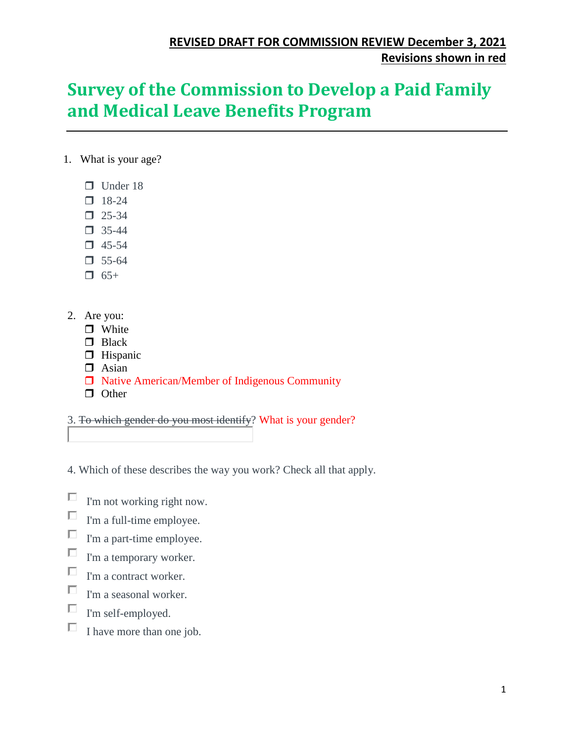# **Survey of the Commission to Develop a Paid Family and Medical Leave Benefits Program**

- 1. What is your age?
	- $\Box$  Under 18
	- $18-24$
	- $\Box$  25-34
	- $\Box$  35-44
	- $\Box$  45-54
	- $\Box$  55-64
	- $\Box$  65+
- 2. Are you:
	- **n** White
	- **D** Black
	- **Hispanic**
	- $\Box$  Asian
	- □ Native American/Member of Indigenous Community
	- $\Box$  Other

3. To which gender do you most identify? What is your gender?

4. Which of these describes the way you work? Check all that apply.

- П I'm not working right now.
- П I'm a full-time employee.
- П I'm a part-time employee.
- $\Box$ I'm a temporary worker.
- П I'm a contract worker.
- П I'm a seasonal worker.
- П I'm self-employed.
- П I have more than one job.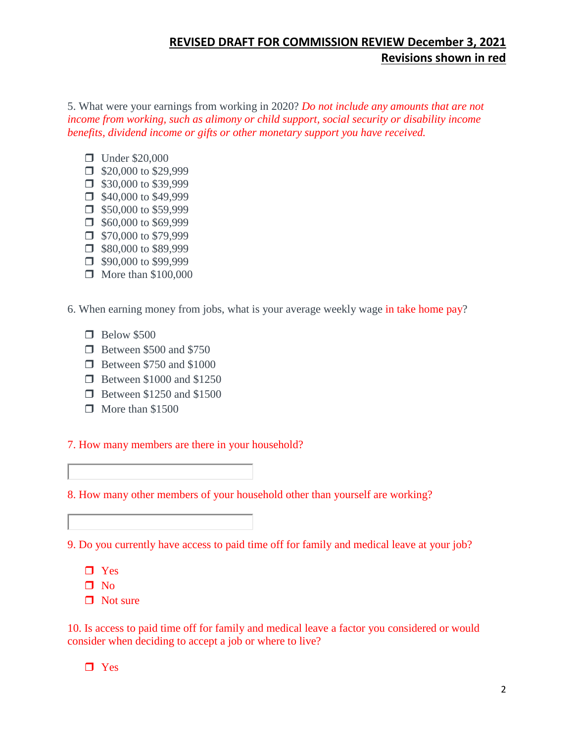5. What were your earnings from working in 2020? *Do not include any amounts that are not income from working, such as alimony or child support, social security or disability income benefits, dividend income or gifts or other monetary support you have received.* 

- **Under \$20,000**
- $\Box$  \$20,000 to \$29,999
- $\Box$  \$30,000 to \$39,999
- $\Box$  \$40,000 to \$49,999
- $\Box$  \$50,000 to \$59,999
- $\Box$  \$60,000 to \$69,999
- $\Box$  \$70,000 to \$79,999
- $\Box$  \$80,000 to \$89,999
- $\Box$  \$90,000 to \$99,999  $\Box$  More than \$100,000
- 6. When earning money from jobs, what is your average weekly wage in take home pay?
	- $\Box$  Below \$500
	- **Between \$500 and \$750**
	- **Between \$750 and \$1000**
	- **Between \$1000 and \$1250**
	- **Between \$1250 and \$1500**
	- $\Box$  More than \$1500

#### 7. How many members are there in your household?

## 8. How many other members of your household other than yourself are working?

#### 9. Do you currently have access to paid time off for family and medical leave at your job?

- **D** Yes
- $\Box$  No
- $\Box$  Not sure

10. Is access to paid time off for family and medical leave a factor you considered or would consider when deciding to accept a job or where to live?

□ Yes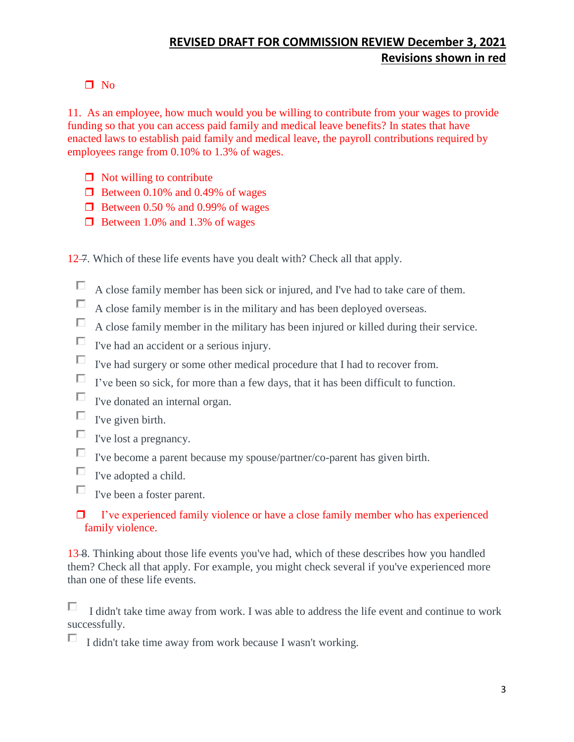## $\Box$  No

11. As an employee, how much would you be willing to contribute from your wages to provide funding so that you can access paid family and medical leave benefits? In states that have enacted laws to establish paid family and medical leave, the payroll contributions required by employees range from 0.10% to 1.3% of wages.

- $\Box$  Not willing to contribute
- $\Box$  Between 0.10% and 0.49% of wages
- $\Box$  Between 0.50 % and 0.99% of wages
- $\Box$  Between 1.0% and 1.3% of wages
- 12–7. Which of these life events have you dealt with? Check all that apply.
	- $\Box$ A close family member has been sick or injured, and I've had to take care of them.
	- $\Box$ A close family member is in the military and has been deployed overseas.
	- $\Box$ A close family member in the military has been injured or killed during their service.
	- $\Box$  I've had an accident or a serious injury.
	- $\Box$ I've had surgery or some other medical procedure that I had to recover from.
	- $\Box$  I've been so sick, for more than a few days, that it has been difficult to function.
	- $\Box$  I've donated an internal organ.
	- $\Box$  I've given birth.
	- $\Box$  <br> <br> I've lost a pregnancy.
	- $\Box$  I've become a parent because my spouse/partner/co-parent has given birth.
	- $\Box$ I've adopted a child.
	- $\Box$  I've been a foster parent.

## $\Box$  I've experienced family violence or have a close family member who has experienced family violence.

13 8. Thinking about those life events you've had, which of these describes how you handled them? Check all that apply. For example, you might check several if you've experienced more than one of these life events.

П. I didn't take time away from work. I was able to address the life event and continue to work successfully.

 $\Box$  I didn't take time away from work because I wasn't working.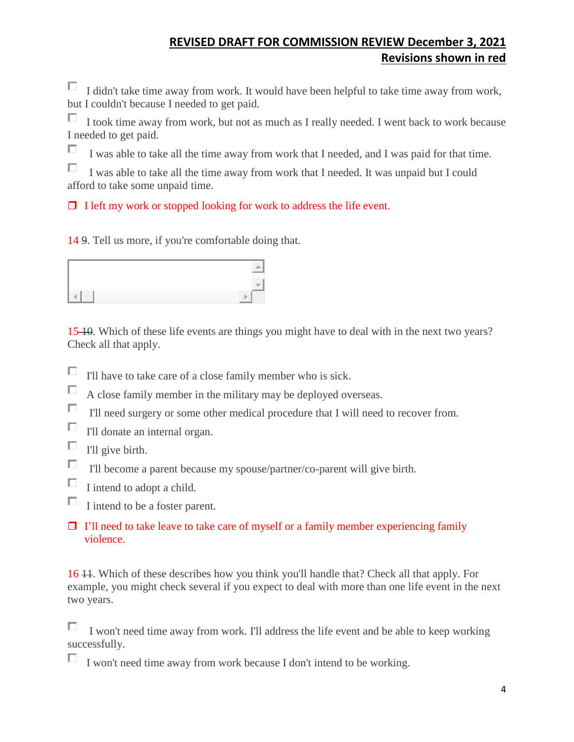$\Box$  I didn't take time away from work. It would have been helpful to take time away from work, but I couldn't because I needed to get paid.

п. I took time away from work, but not as much as I really needed. I went back to work because I needed to get paid.

П I was able to take all the time away from work that I needed, and I was paid for that time.

П I was able to take all the time away from work that I needed. It was unpaid but I could afford to take some unpaid time.

 $\Box$  I left my work or stopped looking for work to address the life event.

14 9. Tell us more, if you're comfortable doing that.

| -----<br>_____<br>~~~~~ |  |
|-------------------------|--|

15 10. Which of these life events are things you might have to deal with in the next two years? Check all that apply.

- $\Box$ I'll have to take care of a close family member who is sick.
- П A close family member in the military may be deployed overseas.
- П. I'll need surgery or some other medical procedure that I will need to recover from.
- П I'll donate an internal organ.
- П I'll give birth.
- П I'll become a parent because my spouse/partner/co-parent will give birth.
- П I intend to adopt a child.
- $\Box$ I intend to be a foster parent.
- $\Box$  I'll need to take leave to take care of myself or a family member experiencing family violence.

16 11. Which of these describes how you think you'll handle that? Check all that apply. For example, you might check several if you expect to deal with more than one life event in the next two years.

п I won't need time away from work. I'll address the life event and be able to keep working successfully.

 $\Box$  I won't need time away from work because I don't intend to be working.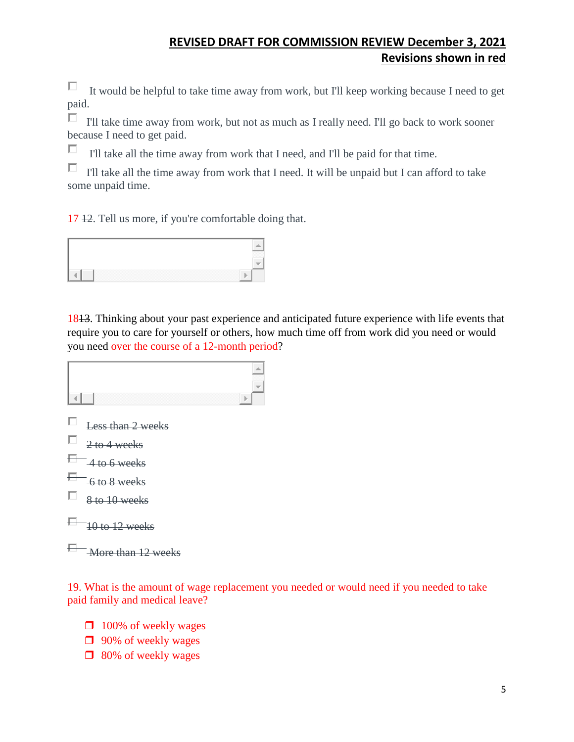П It would be helpful to take time away from work, but I'll keep working because I need to get paid.

I'll take time away from work, but not as much as I really need. I'll go back to work sooner because I need to get paid.

П I'll take all the time away from work that I need, and I'll be paid for that time.

 $\Box$ I'll take all the time away from work that I need. It will be unpaid but I can afford to take some unpaid time.

17 12. Tell us more, if you're comfortable doing that.



1813. Thinking about your past experience and anticipated future experience with life events that require you to care for yourself or others, how much time off from work did you need or would you need over the course of a 12-month period?



19. What is the amount of wage replacement you needed or would need if you needed to take paid family and medical leave?

- **100% of weekly wages**
- **1** 90% of weekly wages
- $\Box$  80% of weekly wages